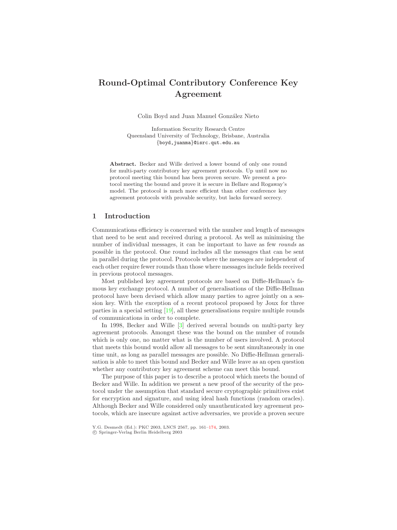# <span id="page-0-0"></span>**Round-Optimal Contributory Conference Key Agreement**

Colin Boyd and Juan Manuel González Nieto

Information Security Research Centre Queensland University of Technology, Brisbane, Australia {boyd,juanma}@isrc.qut.edu.au

**Abstract.** Becker and Wille derived a lower bound of only one round for multi-party contributory key agreement protocols. Up until nowno protocol meeting this bound has been proven secure. We present a protocol meeting the bound and prove it is secure in Bellare and Rogaway's model. The protocol is much more efficient than other conference key agreement protocols with provable security, but lacks forward secrecy.

# **1 Introduction**

Communications efficiency is concerned with the number and length of messages that need to be sent and received during a protocol. As well as minimising the number of individual messages, it can be important to have as few *rounds* as possible in the protocol. One round includes all the messages that can be sent in parallel during the protocol. Protocols where the messages are independent of each other require fewer rounds than those where messages include fields received in previous protocol messages.

Most published key agreement protocols are based on Diffie-Hellman's famous key exchange protocol. Anumber of generalisations of the Diffie-Hellman protocol have been devised which allow many parties to agree jointly on a session key. With the exception of a recent protocol proposed by Joux for three parties in a special setting [\[19\]](#page-12-0), all these generalisations require multiple rounds of communications in order to complete.

In 1998, Becker and Wille [\[3\]](#page-11-0) derived several bounds on multi-party key agreement protocols. Amongst these was the bound on the number of rounds which is only one, no matter what is the number of users involved. A protocol that meets this bound would allow all messages to be sent simultaneously in one time unit, as long as parallel messages are possible. No Diffie-Hellman generalisation is able to meet this bound and Becker and Wille leave as an open question whether any contributory key agreement scheme can meet this bound.

The purpose of this paper is to describe a protocol which meets the bound of Becker and Wille. In addition we present a new proof of the security of the protocol under the assumption that standard secure cryptographic primitives exist for encryption and signature, and using ideal hash functions (random oracles). Although Becker and Wille considered only unauthenticated key agreement protocols, which are insecure against active adversaries, we provide a proven secure

Y.G. Desmedt (Ed.): PKC 2003, LNCS 2567, pp. 161[–174,](#page-13-0) 2003.

c Springer-Verlag Berlin Heidelberg 2003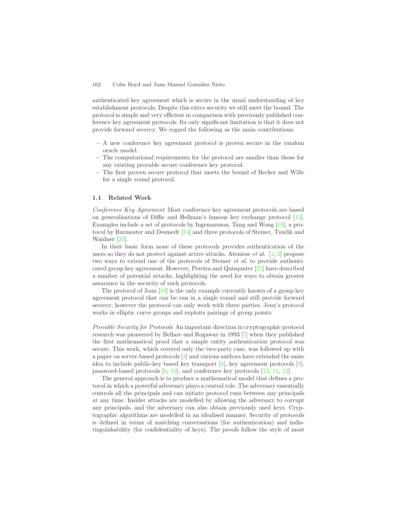<span id="page-1-0"></span>authenticated key agreement which is secure in the usual understanding of key establishment protocols. Despite this extra security we still meet the bound. The protocol is simple and very efficient in comparison with previously published conference key agreement protocols. Its only significant limitation is that it does not provide forward secrecy. We regard the following as the main contributions.

- **–** Anew conference key agreement protocol is proven secure in the random oracle model.
- **–** The computational requirements for the protocol are smaller than those for any existing provable secure conference key protocol.
- **–** The first proven secure protocol that meets the bound of Becker and Wille for a single round protocol.

#### **1.1 Related Work**

*Conference Key Agreement* Most conference key agreement protocols are based on generalisations of Diffie and Hellman's famous key exchange protocol [\[15\]](#page-12-1). Examples include a set of protocols by Ingemarsson, Tang and Wong [\[18\]](#page-12-2), a protocol by Burmester and Desmedt [\[14\]](#page-12-3) and three protocols of Steiner, Tsudik and Waidner [\[23\]](#page-13-1).

In their basic form none of these protocols provides authentication of the users so they do not protect against active attacks. Ateniese *et al.* [\[1,](#page-11-1) [2\]](#page-11-2) propose two ways to extend one of the protocols of Steiner *et al.* to provide authenticated group key agreement. However, Pereira and Quisquater [\[21\]](#page-13-2) have described a number of potential attacks, highlighting the need for ways to obtain greater assurance in the security of such protocols.

The protocol of Joux [\[19\]](#page-12-0) is the only example currently known of a group key agreement protocol that can be run in a single round and still provide forward secrecy; however the protocol can only work with three parties. Joux's protocol works in elliptic curve groups and exploits pairings of group points.

*Provable Security for Protocols* An important direction in cryptographic protocol research was pioneered by Bellare and Rogaway in 1993 [\[7\]](#page-12-4) when they published the first mathematical proof that a simple entity authentication protocol was secure. This work, which covered only the two-party case, was followed up with a paper on server-based protocols [\[4\]](#page-12-5) and various authors have extended the same idea to include public-key based key transport  $[8]$ , key agreement protocols  $[9]$ , password-based protocols [\[6,](#page-12-8) [10\]](#page-12-9), and conference key protocols [\[13,](#page-12-10) [11,](#page-12-11) [12\]](#page-12-12).

The general approach is to produce a mathematical model that defines a protocol in which a powerful adversary plays a central role. The adversary essentially controls all the principals and can initiate protocol runs between any principals at any time. Insider attacks are modelled by allowing the adversary to corrupt any principals, and the adversary can also obtain previously used keys. Cryptographic algorithms are modelled in an idealised manner. Security of protocols is defined in terms of matching conversations (for authentication) and indistinguishability (for confidentiality of keys). The proofs follow the style of most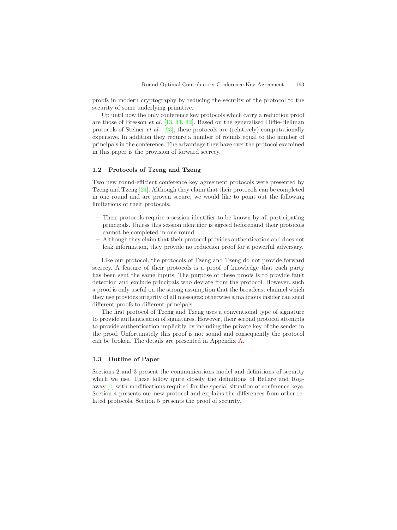<span id="page-2-0"></span>proofs in modern cryptography by reducing the security of the protocol to the security of some underlying primitive.

Up until now the only conference key protocols which carry a reduction proof are those of Bresson *et al.* [\[13,](#page-12-10) [11,](#page-12-11) [12\]](#page-12-12). Based on the generalised Diffie-Hellman protocols of Steiner *et al.* [\[23\]](#page-13-1), these protocols are (relatively) computationally expensive. In addition they require a number of rounds equal to the number of principals in the conference. The advantage they have over the protocol examined in this paper is the provision of forward secrecy.

## **1.2 Protocols of Tzeng and Tzeng**

Two new round-efficient conference key agreement protocols were presented by Tzeng and Tzeng [\[24\]](#page-13-3). Although they claim that their protocols can be completed in one round and are proven secure, we would like to point out the following limitations of their protocols.

- **–** Their protocols require a session identifier to be known by all participating principals. Unless this session identifier is agreed beforehand their protocols cannot be completed in one round.
- **–** Although they claim that their protocol provides authentication and does not leak information, they provide no reduction proof for a powerful adversary.

Like our protocol, the protocols of Tzeng and Tzeng do not provide forward secrecy. A feature of their protocols is a proof of knowledge that each party has been sent the same inputs. The purpose of these proofs is to provide fault detection and exclude principals who deviate from the protocol. However, such a proof is only useful on the strong assumption that the broadcast channel which they use provides integrity of all messages; otherwise a malicious insider can send different proofs to different principals.

The first protocol of Tzeng and Tzeng uses a conventional type of signature to provide authentication of signatures. However, their second protocol attempts to provide authentication implicitly by including the private key of the sender in the proof. Unfortunately this proof is not sound and consequently the protocol can be broken. The details are presented in Appendix [A.](#page-13-4)

#### **1.3 Outline of Paper**

Sections 2 and 3 present the communications model and definitions of security which we use. These follow quite closely the definitions of Bellare and Rogaway [\[4\]](#page-12-5) with modifications required for the special situation of conference keys. Section 4 presents our new protocol and explains the differences from other related protocols. Section 5 presents the proof of security.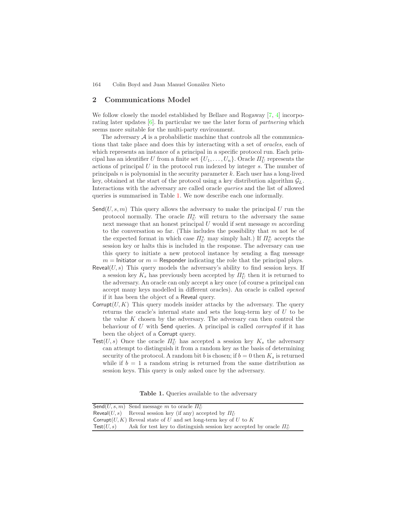# <span id="page-3-1"></span>**2 Communications Model**

We follow closely the model established by Bellare and Rogaway [\[7,](#page-12-4) [4\]](#page-12-5) incorporating later updates [\[6\]](#page-12-8). In particular we use the later form of *partnering* which seems more suitable for the multi-party environment.

The adversary  $A$  is a probabilistic machine that controls all the communications that take place and does this by interacting with a set of *oracles*, each of which represents an instance of a principal in a specific protocol run. Each principal has an identifier U from a finite set  $\{U_1, \ldots, U_n\}$ . Oracle  $\Pi_U^s$  represents the actions of principal  $U$  in the protocol run indexed by integer  $s$ . The number of principals  $n$  is polynomial in the security parameter  $k$ . Each user has a long-lived key, obtained at the start of the protocol using a key distribution algorithm  $\mathcal{G}_L$ . Interactions with the adversary are called oracle *queries* and the list of allowed queries is summarised in Table [1.](#page-3-0) We now describe each one informally.

- Send $(U, s, m)$  This query allows the adversary to make the principal U run the protocol normally. The oracle  $\Pi_U^s$  will return to the adversary the same next message that an honest principal  $U$  would if sent message  $m$  according to the conversation so far. (This includes the possibility that  $m$  not be of the expected format in which case  $\Pi_U^s$  may simply halt.) If  $\Pi_U^s$  accepts the session key or halts this is included in the response. The adversary can use this query to initiate a new protocol instance by sending a flag message  $m =$  Initiator or  $m =$  Responder indicating the role that the principal plays.
- <span id="page-3-0"></span>Reveal $(U, s)$  This query models the adversary's ability to find session keys. If a session key  $K_s$  has previously been accepted by  $H_U^s$  then it is returned to the adversary. An oracle can only accept a key once (of course a principal can accept many keys modelled in different oracles). An oracle is called *opened* if it has been the object of a Reveal query.
- Corrupt $(U, K)$  This query models insider attacks by the adversary. The query returns the oracle's internal state and sets the long-term key of U to be the value  $K$  chosen by the adversary. The adversary can then control the behaviour of U with Send queries. Aprincipal is called *corrupted* if it has been the object of a Corrupt query.
- Test(U, s) Once the oracle  $\overline{H}_{U}^{s}$  has accepted a session key  $K_{s}$  the adversary can attempt to distinguish it from a random key as the basis of determining security of the protocol. A random bit b is chosen; if  $b = 0$  then  $K_s$  is returned while if  $b = 1$  a random string is returned from the same distribution as session keys. This query is only asked once by the adversary.

**Table 1.** Queries available to the adversary

|                      | <b>Send</b> (U, s, m) Send message m to oracle $\Pi_{U}^{s}$                |
|----------------------|-----------------------------------------------------------------------------|
|                      | Reveal(U, s) Reveal session key (if any) accepted by $\Pi_U^s$              |
|                      | Corrupt $(U, K)$ Reveal state of U and set long-term key of U to K          |
| $\mathsf{Test}(U,s)$ | Ask for test key to distinguish session key accepted by oracle $\Pi_{II}^s$ |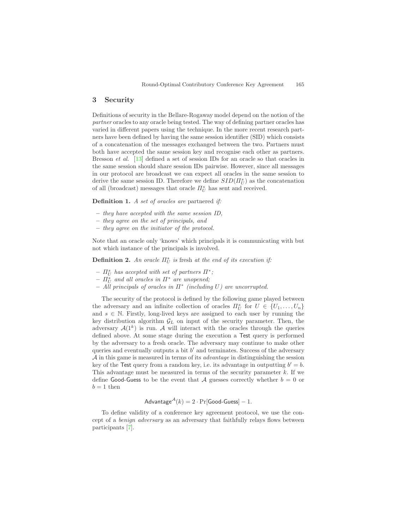# <span id="page-4-0"></span>**3 Security**

Definitions of security in the Bellare-Rogaway model depend on the notion of the *partner* oracles to any oracle being tested. The way of defining partner oracles has varied in different papers using the technique. In the more recent research partners have been defined by having the same session identifier (SID) which consists of a concatenation of the messages exchanged between the two. Partners must both have accepted the same session key and recognise each other as partners. Bresson *et al.* [\[13\]](#page-12-10) defined a set of session IDs for an oracle so that oracles in the same session should share session IDs pairwise. However, since all messages in our protocol are broadcast we can expect all oracles in the same session to derive the same session ID. Therefore we define  $SID(\Pi_U^s)$  as the concatenation of all (broadcast) messages that oracle  $\Pi_{U}^{s}$  has sent and received.

**Definition 1.** *A set of oracles are* partnered *if:*

- **–** *they have accepted with the same session ID,*
- **–** *they agree on the set of principals, and*
- **–** *they agree on the initiator of the protocol.*

Note that an oracle only 'knows' which principals it is communicating with but not which instance of the principals is involved.

**Definition 2.** An oracle  $\Pi_U^s$  is fresh at the end of its execution if:

- $-I_{U}^{s}$  has accepted with set of partners  $\Pi^{*}$ ;
- $\overline{\Pi}_{U}^{s}$  and all oracles in  $\Pi^{*}$  are unopened;
- **–** *All principals of oracles in* Π<sup>∗</sup> *(including* U*) are uncorrupted.*

The security of the protocol is defined by the following game played between the adversary and an infinite collection of oracles  $\Pi_{U}^{s}$  for  $U \in \{U_1, \ldots, U_n\}$ and  $s \in \mathbb{N}$ . Firstly, long-lived keys are assigned to each user by running the key distribution algorithm  $\mathcal{G}_L$  on input of the security parameter. Then, the adversary  $A(1^k)$  is run. A will interact with the oracles through the queries defined above. At some stage during the execution a Test query is performed by the adversary to a fresh oracle. The adversary may continue to make other queries and eventually outputs a bit  $b'$  and terminates. Success of the adversary A in this game is measured in terms of its *advantage* in distinguishing the session key of the Test query from a random key, i.e. its advantage in outputting  $b' = b$ . This advantage must be measured in terms of the security parameter  $k$ . If we define Good-Guess to be the event that A guesses correctly whether  $b = 0$  or  $b = 1$  then

$$
Advantage^{\mathcal{A}}(k) = 2 \cdot Pr[Good\text{-}Guess] - 1.
$$

To define validity of a conference key agreement protocol, we use the concept of a *benign adversary* as an adversary that faithfully relays flows between participants [\[7\]](#page-12-4).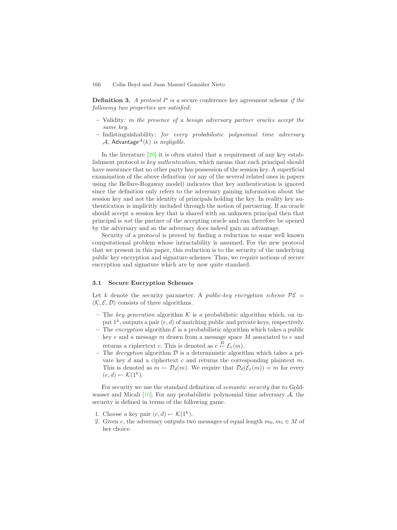<span id="page-5-0"></span>**Definition 3.** *A protocol* P *is a* secure conference key agreement scheme *if the following two properties are satisfied:*

- **–** Validity*: in the presence of a benign adversary partner oracles accept the same key.*
- **–** Indistinguishability*: for every probabilistic polynomial time adversary* A, Advantage<sup> $A(k)$ </sup> *is negligible.*

In the literature [\[20\]](#page-12-13) it is often stated that a requirement of any key establishment protocol is *key authentication*, which means that each principal should have assurance that no other party has possession of the session key. A superficial examination of the above definition (or any of the several related ones in papers using the Bellare-Rogaway model) indicates that key authentication is ignored since the definition only refers to the adversary gaining information about the session key and not the identity of principals holding the key. In reality key authentication is implicitly included through the notion of partnering. If an oracle should accept a session key that is shared with an unknown principal then that principal is *not* the partner of the accepting oracle and can therefore be opened by the adversary and so the adversary does indeed gain an advantage.

Security of a protocol is proved by finding a reduction to some well known computational problem whose intractability is assumed. For the new protocol that we present in this paper, this reduction is to the security of the underlying public key encryption and signature schemes. Thus, we require notions of secure encryption and signature which are by now quite standard.

#### **3.1 Secure Encryption Schemes**

Let k denote the security parameter. A *public-key encryption scheme*  $\mathcal{P}\mathcal{E}$  =  $(K, \mathcal{E}, \mathcal{D})$  consists of three algorithms.

- The *key generation* algorithm  $K$  is a probabilistic algorithm which, on input  $1^k$ , outputs a pair  $(e, d)$  of matching public and private keys, respectively.
- The *encryption* algorithm  $\mathcal E$  is a probabilistic algorithm which takes a public key $e$  and a message  $m$  drawn from a message space  $M$  associated to  $e$  and returns a ciphertext c. This is denoted as  $c \stackrel{\overline{R}}{\leftarrow} \mathcal{E}_e(m)$ .
- The *decryption* algorithm  $\mathcal{D}$  is a deterministic algorithm which takes a private key  $d$  and a ciphertext  $c$  and returns the corresponding plaintext  $m$ . This is denoted as  $m \leftarrow \mathcal{D}_d(m)$ . We require that  $\mathcal{D}_d(\mathcal{E}_e(m)) = m$  for every  $(e, d) \leftarrow \mathcal{K}(1^k).$

For security we use the standard definition of *semantic security* due to Goldwasser and Micali  $[16]$ . For any probabilistic polynomial time adversary A, the security is defined in terms of the following game.

- 1. Choose a key pair  $(e, d) \leftarrow \mathcal{K}(1^k)$ .
- 2. Given e, the adversary outputs two messages of equal length  $m_0, m_1 \in M$  of her choice.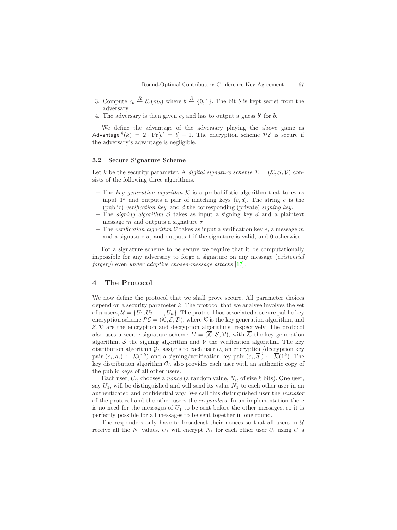- <span id="page-6-0"></span>3. Compute  $c_b \stackrel{R}{\leftarrow} \mathcal{E}_e(m_b)$  where  $b \stackrel{R}{\leftarrow} \{0,1\}$ . The bit b is kept secret from the adversary.
- 4. The adversary is then given  $c_b$  and has to output a guess  $b'$  for  $b$ .

We define the advantage of the adversary playing the above game as Advantage<sup>A</sup>(k) = 2 · Pr[b' = b] – 1. The encryption scheme  $\mathcal{PE}$  is secure if the adversary's advantage is negligible.

#### **3.2 Secure Signature Scheme**

Let k be the security parameter. A *digital signature scheme*  $\Sigma = (\mathcal{K}, \mathcal{S}, \mathcal{V})$  consists of the following three algorithms.

- The *key generation algorithm*  $K$  is a probabilistic algorithm that takes as input  $1^k$  and outputs a pair of matching keys  $(e, d)$ . The string e is the (public) *verification key*, and d the corresponding (private) *signing key*.
- $-$  The *signing algorithm*  $S$  takes as input a signing key  $d$  and a plaintext message m and outputs a signature  $\sigma$ .
- The *verification algorithm*  $V$  takes as input a verification key  $e$ , a message m and a signature  $\sigma$ , and outputs 1 if the signature is valid, and 0 otherwise.

For a signature scheme to be secure we require that it be computationally impossible for any adversary to forge a signature on any message (*existential forgery*) even *under adaptive chosen-message attacks* [\[17\]](#page-12-15).

# **4 The Protocol**

We now define the protocol that we shall prove secure. All parameter choices depend on a security parameter  $k$ . The protocol that we analyse involves the set of n users,  $\mathcal{U} = \{U_1, U_2, \ldots, U_n\}$ . The protocol has associated a secure public key encryption scheme  $\mathcal{P}\mathcal{E} = (\mathcal{K}, \mathcal{E}, \mathcal{D})$ , where K is the key generation algorithm, and  $\mathcal{E}, \mathcal{D}$  are the encryption and decryption algorithms, respectively. The protocol also uses a secure signature scheme  $\Sigma = (\overline{\mathcal{K}}, \mathcal{S}, \mathcal{V})$ , with  $\overline{\mathcal{K}}$  the key generation algorithm,  $S$  the signing algorithm and  $V$  the verification algorithm. The key distribution algorithm  $\mathcal{G}_L$  assigns to each user  $U_i$  an encryption/decryption key pair  $(e_i, d_i) \leftarrow \mathcal{K}(1^k)$  and a signing/verification key pair  $(\overline{e}_i, \overline{d}_i) \leftarrow \overline{\mathcal{K}}(1^k)$ . The key distribution algorithm  $\mathcal{G}_L$  also provides each user with an authentic copy of the public keys of all other users.

Each user,  $U_i$ , chooses a *nonce* (a random value,  $N_i$ , of size k bits). One user, say  $U_1$ , will be distinguished and will send its value  $N_1$  to each other user in an authenticated and confidential way. We call this distinguished user the *initiator* of the protocol and the other users the *responders*. In an implementation there is no need for the messages of  $U_1$  to be sent before the other messages, so it is perfectly possible for all messages to be sent together in one round.

The responders only have to broadcast their nonces so that all users in  $U$ receive all the  $N_i$  values.  $U_1$  will encrypt  $N_1$  for each other user  $U_i$  using  $U_i$ 's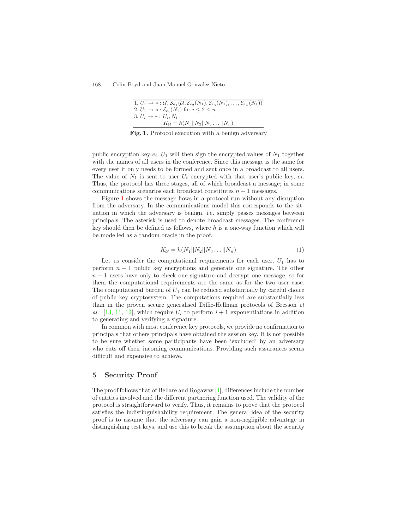<span id="page-7-1"></span><span id="page-7-0"></span>1. 
$$
U_1 \rightarrow * : \mathcal{U}, \mathcal{S}_{d_1}(\mathcal{U}, \mathcal{E}_{e_2}(N_1), \mathcal{E}_{e_3}(N_1), \dots, \mathcal{E}_{e_n}(N_1))
$$
  
\n2.  $U_1 \rightarrow * : \mathcal{E}_{e_i}(N_1)$  for  $i \leq 2 \leq n$   
\n3.  $U_i \rightarrow * : U_i, N_i$   
\n $K_{\mathcal{U}} = h(N_1 || N_2 || N_3 \dots || N_n)$ 

**Fig. 1.** Protocol execution with a benign adversary

public encryption key  $e_i$ .  $U_1$  will then sign the encrypted values of  $N_1$  together with the names of all users in the conference. Since this message is the same for every user it only needs to be formed and sent once in a broadcast to all users. The value of  $N_1$  is sent to user  $U_i$  encrypted with that user's public key,  $e_i$ . Thus, the protocol has three stages, all of which broadcast a message; in some communications scenarios each broadcast constitutes  $n - 1$  messages.

Figure [1](#page-7-0) shows the message flows in a protocol run without any disruption from the adversary. In the communications model this corresponds to the situation in which the adversary is benign, i.e. simply passes messages between principals. The asterisk is used to denote broadcast messages. The conference key should then be defined as follows, where  $h$  is a one-way function which will be modelled as a random oracle in the proof.

$$
K_{\mathcal{U}} = h(N_1||N_2||N_3\ldots||N_n)
$$
\n(1)

Let us consider the computational requirements for each user.  $U_1$  has to perform  $n-1$  public key encryptions and generate one signature. The other  $n-1$  users have only to check one signature and decrypt one message, so for them the computational requirements are the same as for the two user case. The computational burden of  $U_1$  can be reduced substantially by careful choice of public key cryptosystem. The computations required are substantially less than in the proven secure generalised Diffie-Hellman protocols of Bresson *et* al. [\[13,](#page-12-10) [11,](#page-12-11) [12\]](#page-12-12), which require  $U_i$  to perform  $i+1$  exponentiations in addition to generating and verifying a signature.

In common with most conference key protocols, we provide no confirmation to principals that others principals have obtained the session key. It is not possible to be sure whether some participants have been 'excluded' by an adversary who cuts off their incoming communications. Providing such assurances seems difficult and expensive to achieve.

### **5 Security Proof**

The proof follows that of Bellare and Rogaway [\[4\]](#page-12-5); differences include the number of entities involved and the different partnering function used. The validity of the protocol is straightforward to verify. Thus, it remains to prove that the protocol satisfies the indistinguishability requirement. The general idea of the security proof is to assume that the adversary can gain a non-negligible advantage in distinguishing test keys, and use this to break the assumption about the security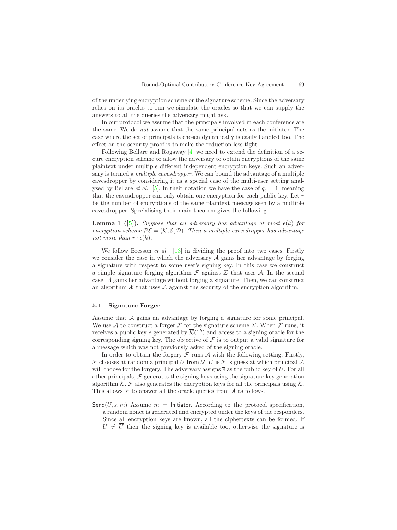<span id="page-8-1"></span>of the underlying encryption scheme or the signature scheme. Since the adversary relies on its oracles to run we simulate the oracles so that we can supply the answers to all the queries the adversary might ask.

In our protocol we assume that the principals involved in each conference are the same. We do *not* assume that the same principal acts as the initiator. The case where the set of principals is chosen dynamically is easily handled too. The effect on the security proof is to make the reduction less tight.

Following Bellare and Rogaway  $[4]$  we need to extend the definition of a secure encryption scheme to allow the adversary to obtain encryptions of the same plaintext under multiple different independent encryption keys. Such an adversary is termed a *multiple eavesdropper*. We can bound the advantage of a multiple eavesdropper by considering it as a special case of the multi-user setting analysed by Bellare *et al.* [\[5\]](#page-12-16). In their notation we have the case of  $q_e = 1$ , meaning that the eavesdropper can only obtain one encryption for each public key. Let  $r$ be the number of encryptions of the same plaintext message seen by a multiple eavesdropper. Specialising their main theorem gives the following.

<span id="page-8-0"></span>**Lemma 1** ([\[5\]](#page-12-16)). *Suppose that an adversary has advantage at most*  $\epsilon(k)$  *for encryption scheme*  $P\mathcal{E} = (\mathcal{K}, \mathcal{E}, \mathcal{D})$ *. Then a multiple eavesdropper has advantage not more than*  $r \cdot \epsilon(k)$ *.* 

We follow Bresson *et al.* [\[13\]](#page-12-10) in dividing the proof into two cases. Firstly we consider the case in which the adversary  $A$  gains her advantage by forging a signature with respect to some user's signing key. In this case we construct a simple signature forging algorithm  $\mathcal F$  against  $\Sigma$  that uses  $\mathcal A$ . In the second case, A gains her advantage without forging a signature. Then, we can construct an algorithm  $\mathcal X$  that uses  $\mathcal A$  against the security of the encryption algorithm.

### **5.1 Signature Forger**

Assume that A gains an advantage by forging a signature for some principal. We use A to construct a forger F for the signature scheme  $\Sigma$ . When F runs, it receives a public key  $\bar{e}$  generated by  $\bar{\mathcal{K}}(1^k)$  and access to a signing oracle for the corresponding signing key. The objective of  $\mathcal F$  is to output a valid signature for a message which was not previously asked of the signing oracle.

In order to obtain the forgery  $\mathcal F$  runs  $\mathcal A$  with the following setting. Firstly, F chooses at random a principal  $\overline{U}$  from  $\mathcal{U}$ .  $\overline{U}$  is F 's guess at which principal A will choose for the forgery. The adversary assigns  $\bar{e}$  as the public key of  $\bar{U}$ . For all other principals,  $\mathcal F$  generates the signing keys using the signature key generation algorithm  $\overline{\mathcal{K}}$ .  $\mathcal F$  also generates the encryption keys for all the principals using  $\mathcal K$ . This allows  $\mathcal F$  to answer all the oracle queries from  $\mathcal A$  as follows.

Send(U, s, m) Assume  $m =$  Initiator. According to the protocol specification, a random nonce is generated and encrypted under the keys of the responders. Since all encryption keys are known, all the ciphertexts can be formed. If  $U \neq \overline{U}$  then the signing key is available too, otherwise the signature is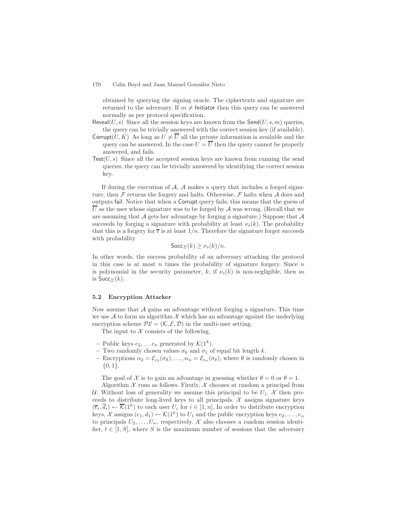obtained by querying the signing oracle. The ciphertexts and signature are returned to the adversary. If  $m \neq 1$ nitiator then this query can be answered normally as per protocol specification.

- Reveal(U, s) Since all the session keys are known from the  $\mathsf{Send}(U, s, m)$  queries, the query can be trivially answered with the correct session key (if available).
- Corrupt(U, K) As long as  $U \neq \overline{U}$  all the private information is available and the query can be answered. In the case  $U = \overline{U}$  then the query cannot be properly answered, and fails.
- $Test(U, s)$  Since all the accepted session keys are known from running the send queries, the query can be trivially answered by identifying the correct session key.

If during the execution of  $A$ ,  $A$  makes a query that includes a forged signature, then  $\mathcal F$  returns the forgery and halts. Otherwise,  $\mathcal F$  halts when  $\mathcal A$  does and outputs fail. Notice that when a Corrupt query fails, this means that the guess of  $\overline{U}$  as the user whose signature was to be forged by A was wrong. (Recall that we are assuming that  $A$  gets her advantage by forging a signature.) Suppose that  $A$ succeeds by forging a signature with probability at least  $\nu_s(k)$ . The probability that this is a forgery for  $\bar{e}$  is at least  $1/n$ . Therefore the signature forger succeeds with probability

$$
\mathsf{Succ}_{\Sigma}(k) \geq \nu_s(k)/n.
$$

In other words, the success probability of an adversary attacking the protocol in this case is at most n times the probability of signature forgery. Since  $n$ is polynomial in the security parameter, k, if  $\nu_s(k)$  is non-negligible, then so is  $Succ_{\Sigma}(k)$ .

### **5.2 Encryption Attacker**

Now assume that  $A$  gains an advantage without forging a signature. This time we use  $A$  to form an algorithm  $X$  which has an advantage against the underlying encryption scheme  $P\mathcal{E} = (\mathcal{K}, \mathcal{E}, \mathcal{D})$  in the multi-user setting.

The input to  $X$  consists of the following.

- Public keys  $e_2, \ldots e_n$  generated by  $\mathcal{K}(1^k)$ .
- Two randomly chosen values  $\sigma_0$  and  $\sigma_1$  of equal bit length k.
- **–** Encryptions  $\alpha_2 = \mathcal{E}_{e_2}(\sigma_{\theta}), \ldots, \alpha_n = \mathcal{E}_{e_n}(\sigma_{\theta}),$  where  $\theta$  is randomly chosen in  $\{0,1\}.$

The goal of X is to gain an advantage in guessing whether  $\theta = 0$  or  $\theta = 1$ . Algorithm  $X$  runs as follows. Firstly,  $X$  chooses at random a principal from

U. Without loss of generality we assume this principal to be  $U_1$ . X then proceeds to distribute long-lived keys to all principals.  $\mathcal X$  assigns signature keys  $(\overline{e}_i, \overline{d}_i) \leftarrow \overline{\mathcal{K}}(1^k)$  to each user  $U_i$  for  $i \in [1, n]$ . In order to distribute encryption keys,  $\mathcal X$  assigns  $(e_1, d_1) \leftarrow \mathcal K(1^k)$  to  $U_1$  and the public encryption keys  $e_2, \ldots, e_n$ to principals  $U_2, \ldots, U_n$ , respectively. X also chooses a random session identifier,  $t \in [1, S]$ , where S is the maximum number of sessions that the adversary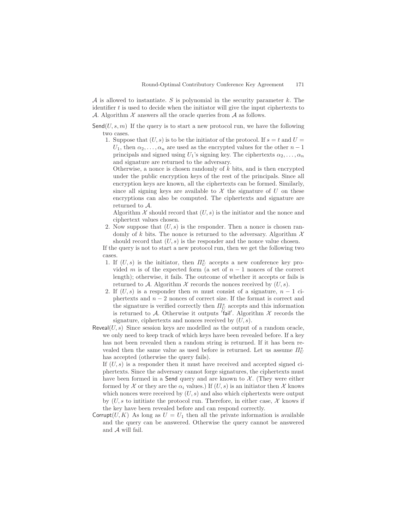$A$  is allowed to instantiate. S is polynomial in the security parameter k. The identifier  $t$  is used to decide when the initiator will give the input ciphertexts to A. Algorithm  $X$  answers all the oracle queries from  $A$  as follows.

 $\mathsf{Send}(U, s, m)$  If the query is to start a new protocol run, we have the following two cases.

1. Suppose that  $(U, s)$  is to be the initiator of the protocol. If  $s = t$  and  $U =$  $U_1$ , then  $\alpha_2,\ldots,\alpha_n$  are used as the encrypted values for the other  $n-1$ principals and signed using  $U_1$ 's signing key. The ciphertexts  $\alpha_2, \ldots, \alpha_n$ and signature are returned to the adversary.

Otherwise, a nonce is chosen randomly of  $k$  bits, and is then encrypted under the public encryption keys of the rest of the principals. Since all encryption keys are known, all the ciphertexts can be formed. Similarly, since all signing keys are available to  $\mathcal X$  the signature of U on these encryptions can also be computed. The ciphertexts and signature are returned to A.

Algorithm  $X$  should record that  $(U, s)$  is the initiator and the nonce and ciphertext values chosen.

2. Now suppose that  $(U, s)$  is the responder. Then a nonce is chosen randomly of k bits. The nonce is returned to the adversary. Algorithm  $\mathcal X$ should record that  $(U, s)$  is the responder and the nonce value chosen.

If the query is not to start a new protocol run, then we get the following two cases.

- 1. If  $(U, s)$  is the initiator, then  $\Pi_U^s$  accepts a new conference key provided m is of the expected form (a set of  $n-1$  nonces of the correct length); otherwise, it fails. The outcome of whether it accepts or fails is returned to A. Algorithm  $\mathcal X$  records the nonces received by  $(U, s)$ .
- 2. If  $(U, s)$  is a responder then m must consist of a signature,  $n 1$  ciphertexts and  $n-2$  nonces of correct size. If the format is correct and the signature is verified correctly then  $\Pi_U^s$  accepts and this information is returned to A. Otherwise it outputs 'fail'. Algorithm  $\mathcal X$  records the signature, ciphertexts and nonces received by  $(U, s)$ .
- Reveal $(U, s)$  Since session keys are modelled as the output of a random oracle, we only need to keep track of which keys have been revealed before. If a key has not been revealed then a random string is returned. If it has been revealed then the same value as used before is returned. Let us assume  $\Pi_{U}^{s}$ has accepted (otherwise the query fails).

If  $(U, s)$  is a responder then it must have received and accepted signed ciphertexts. Since the adversary cannot forge signatures, the ciphertexts must have been formed in a Send query and are known to  $\mathcal{X}$ . (They were either formed by X or they are the  $\alpha_i$  values.) If  $(U, s)$  is an initiator then X knows which nonces were received by  $(U, s)$  and also which ciphertexts were output by  $(U, s$  to intitiate the protocol run. Therefore, in either case,  $\mathcal X$  knows if the key have been revealed before and can respond correctly.

Corrupt(U, K) As long as  $U = U_1$  then all the private information is available and the query can be answered. Otherwise the query cannot be answered and A will fail.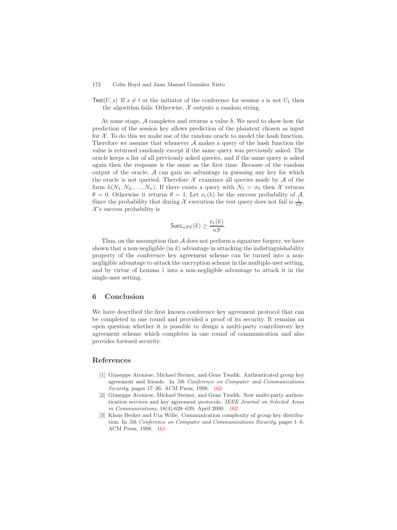Test(U, s) If  $s \neq t$  or the initiator of the conference for session s is not  $U_1$  then the algorithm fails. Otherwise,  $X$  outputs a random string.

At some stage,  $A$  completes and returns a value  $b$ . We need to show how the prediction of the session key allows prediction of the plaintext chosen as input for  $X$ . To do this we make use of the random oracle to model the hash function. Therefore we assume that whenever  $A$  makes a query of the hash function the value is returned randomly except if the same query was previously asked. The oracle keeps a list of all previously asked queries, and if the same query is asked again then the response is the same as the first time. Because of the random output of the oracle,  $A$  can gain no advantage in guessing any key for which the oracle is not queried. Therefore  $\mathcal X$  examines all queries made by  $\mathcal A$  of the form  $h(N_1, N_2, \ldots, N_n)$ . If there exists a query with  $N_1 = \sigma_0$  then X returns  $\theta = 0$ . Otherwise it returns  $\theta = 1$ . Let  $\nu_e(k)$  be the success probability of A. Since the probability that during X execution the test query does not fail is  $\frac{1}{nS}$ ,  $\mathcal{X}$ 's success probability is

$$
\mathsf{Succ}_{n\mathcal{PE}}(k) \geq \frac{\nu_e(k)}{nS}.
$$

Thus, on the assumption that  $A$  does not perform a signature forgery, we have shown that a non-negligible (in  $k$ ) advantage in attacking the indistinguishability property of the conference key agreement scheme can be turned into a nonnegligible advantage to attack the encryption scheme in the multiple-user setting, and by virtue of Lemma [1](#page-8-0) into a non-negligible advantage to attack it in the single-user setting.

# **6 Conclusion**

We have described the first known conference key agreement protocol that can be completed in one round and provided a proof of its security. It remains an open question whether it is possible to design a multi-party contributory key agreement scheme which completes in one round of communication and also provides forward security.

## <span id="page-11-2"></span><span id="page-11-1"></span><span id="page-11-0"></span>**References**

- [1] Giuseppe Ateniese, Michael Steiner, and Gene Tsudik. Authenticated group key agreement and friends. In *5th Conference on Computer and Communications Security*, pages 17–26. ACM Press, 1998. [162](#page-1-0)
- [2] Giuseppe Ateniese, Michael Steiner, and Gene Tsudik. Newmulti-party authentication services and key agreement protocols. *IEEE Journal on Selected Areas in Communications*, 18(4):628–639, April 2000. [162](#page-1-0)
- [3] Klaus Becker and Uta Wille. Communication complexity of group key distribution. In *5th Conference on Computer and Communications Security*, pages 1–6. ACM Press, 1998. [161](#page-0-0)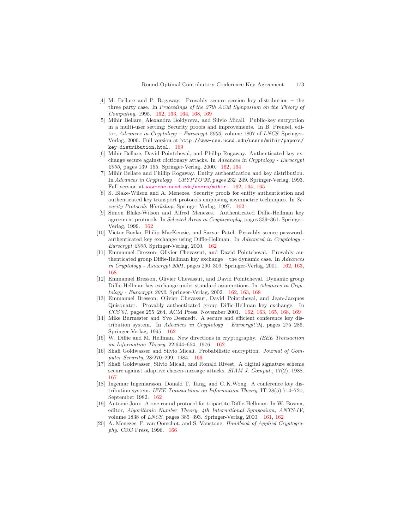- <span id="page-12-16"></span><span id="page-12-5"></span>[4] M. Bellare and P. Rogaway. Provably secure session key distribution – the three party case. In *Proceedings of the 27th ACM Symposium on the Theory of Computing*, 1995. [162,](#page-1-0) [163,](#page-2-0) [164,](#page-3-1) [168,](#page-7-1) [169](#page-8-1)
- <span id="page-12-8"></span>[5] Mihir Bellare, Alexandra Boldyreva, and Silvio Micali. Public-key encryption in a multi-user setting: Security proofs and improvements. In B. Preneel, editor, *Advances in Cryptology – Eurocrypt 2000*, volume 1807 of *LNCS*. Springer-Verlag, 2000. Full version at http://www-cse.ucsd.edu/users/mihir/papers/ key-distribution.html. [169](#page-8-1)
- <span id="page-12-4"></span>[6] Mihir Bellare, David Pointcheval, and Phillip Rogaway. Authenticated key exchange secure against dictionary attacks. In *Advances in Cryptology - Eurocrypt 2000*, pages 139–155. Springer-Verlag, 2000. [162,](#page-1-0) [164](#page-3-1)
- <span id="page-12-6"></span>[7] Mihir Bellare and Phillip Rogaway. Entity authentication and key distribution. In *Advances in Cryptology – CRYPTO'93*, pages 232–249. Springer-Verlag, 1993. Full version at <www-cse.ucsd.edu/users/mihir>. [162,](#page-1-0) [164,](#page-3-1) [165](#page-4-0)
- <span id="page-12-7"></span>[8] S. Blake-Wilson and A. Menezes. Security proofs for entity authentication and authenticated key transport protocols employing asymmetric techniques. In *Security Protocols Workshop*. Springer-Verlag, 1997. [162](#page-1-0)
- <span id="page-12-9"></span>[9] Simon Blake-Wilson and Alfred Menezes. Authenticated Diffie-Hellman key agreement protocols. In *Selected Areas in Cryptography*, pages 339–361. Springer-Verlag, 1999. [162](#page-1-0)
- <span id="page-12-11"></span>[10] Victor Boyko, Philip MacKenzie, and Sarvar Patel. Provably secure passwordauthenticated key exchange using Diffie-Hellman. In *Advanced in Cryptology - Eurocrypt 2000*. Springer-Verlag, 2000. [162](#page-1-0)
- <span id="page-12-12"></span>[11] Emmanuel Bresson, Olivier Chevassut, and David Pointcheval. Provably authenticated group Diffie-Hellman key exchange – the dynamic case. In *Advances in Cryptology - Asiacrypt 2001*, pages 290–309. Springer-Verlag, 2001. [162,](#page-1-0) [163,](#page-2-0) [168](#page-7-1)
- <span id="page-12-10"></span>[12] Emmanuel Bresson, Olivier Chevassut, and David Pointcheval. Dynamic group Diffie-Hellman key exchange under standard assumptions. In *Advances in Cryptology - Eurocrypt 2002*. Springer-Verlag, 2002. [162,](#page-1-0) [163,](#page-2-0) [168](#page-7-1)
- <span id="page-12-3"></span>[13] Emmanuel Bresson, Olivier Chevassut, David Pointcheval, and Jean-Jacques Quisquater. Provably authenticated group Diffie-Hellman key exchange. In *CCS'01*, pages 255–264. ACM Press, November 2001. [162,](#page-1-0) [163,](#page-2-0) [165,](#page-4-0) [168,](#page-7-1) [169](#page-8-1)
- <span id="page-12-14"></span><span id="page-12-1"></span>[14] Mike Burmester and Yvo Desmedt. A secure and efficient conference key distribution system. In *Advances in Cryptology – Eurocrypt'94*, pages 275–286. Springer-Verlag, 1995. [162](#page-1-0)
- <span id="page-12-15"></span>[15] W. Diffie and M. Hellman. Newdirections in cryptography. *IEEE Transaction on Information Theory*, 22:644–654, 1976. [162](#page-1-0)
- <span id="page-12-2"></span>[16] Shafi Goldwasser and Silvio Micali. Probabilistic encryption. *Journal of Computer Security*, 28:270–299, 1984. [166](#page-5-0)
- [17] Shafi Goldwasser, Silvio Micali, and Ronald Rivest. A digital signature scheme secure against adaptive chosen-message attacks. *SIAM J. Comput.*, 17(2), 1988. [167](#page-6-0)
- <span id="page-12-0"></span>[18] Ingemar Ingemarsson, Donald T. Tang, and C. K.Wong. A conference key distribution system. *IEEE Transactions on Information Theory*, IT-28(5):714–720, September 1982. [162](#page-1-0)
- <span id="page-12-13"></span>[19] Antoine Joux. A one round protocol for tripartite Diffie-Hellman. In W. Bosma, editor, *Algorithmic Number Theory, 4th International Symposium, ANTS-IV*, volume 1838 of *LNCS*, pages 385–393. Springer-Verlag, 2000. [161,](#page-0-0) [162](#page-1-0)
- [20] A. Menezes, P. van Oorschot, and S. Vanstone. *Handbook of Applied Cryptography*. CRC Press, 1996. [166](#page-5-0)